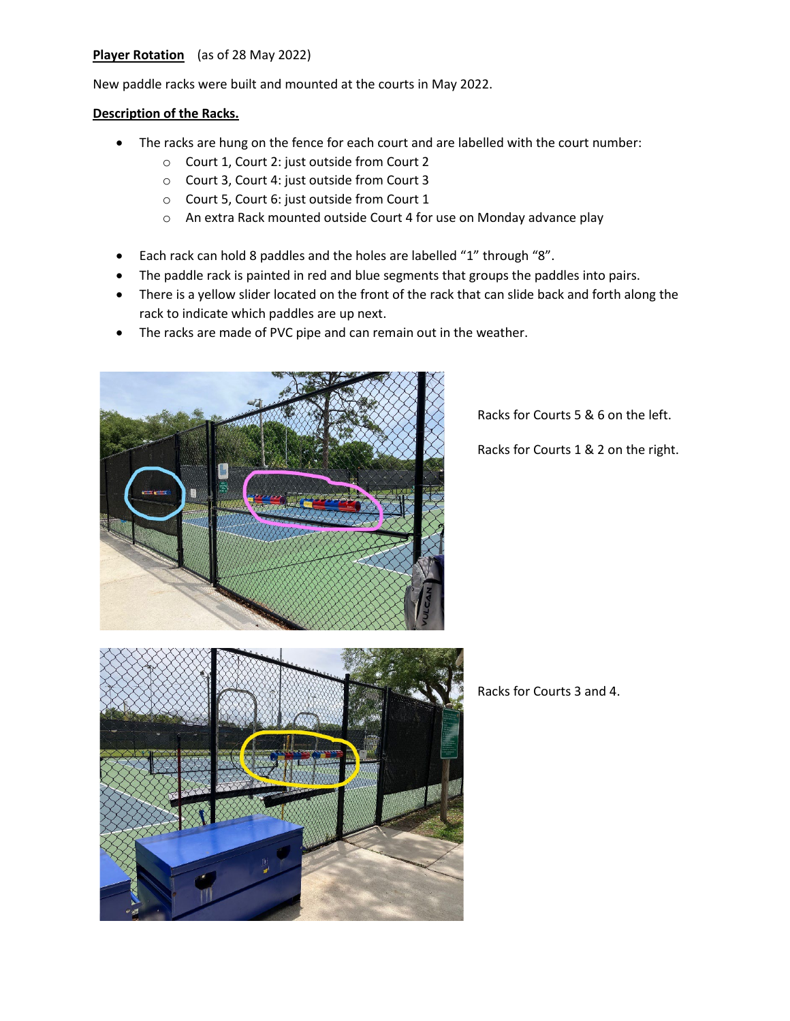## **Player Rotation** (as of 28 May 2022)

New paddle racks were built and mounted at the courts in May 2022.

## **Description of the Racks.**

- The racks are hung on the fence for each court and are labelled with the court number:
	- o Court 1, Court 2: just outside from Court 2
	- o Court 3, Court 4: just outside from Court 3
	- o Court 5, Court 6: just outside from Court 1
	- o An extra Rack mounted outside Court 4 for use on Monday advance play
- Each rack can hold 8 paddles and the holes are labelled "1" through "8".
- The paddle rack is painted in red and blue segments that groups the paddles into pairs.
- There is a yellow slider located on the front of the rack that can slide back and forth along the rack to indicate which paddles are up next.
- The racks are made of PVC pipe and can remain out in the weather.



Racks for Courts 5 & 6 on the left.

Racks for Courts 1 & 2 on the right.



Racks for Courts 3 and 4.